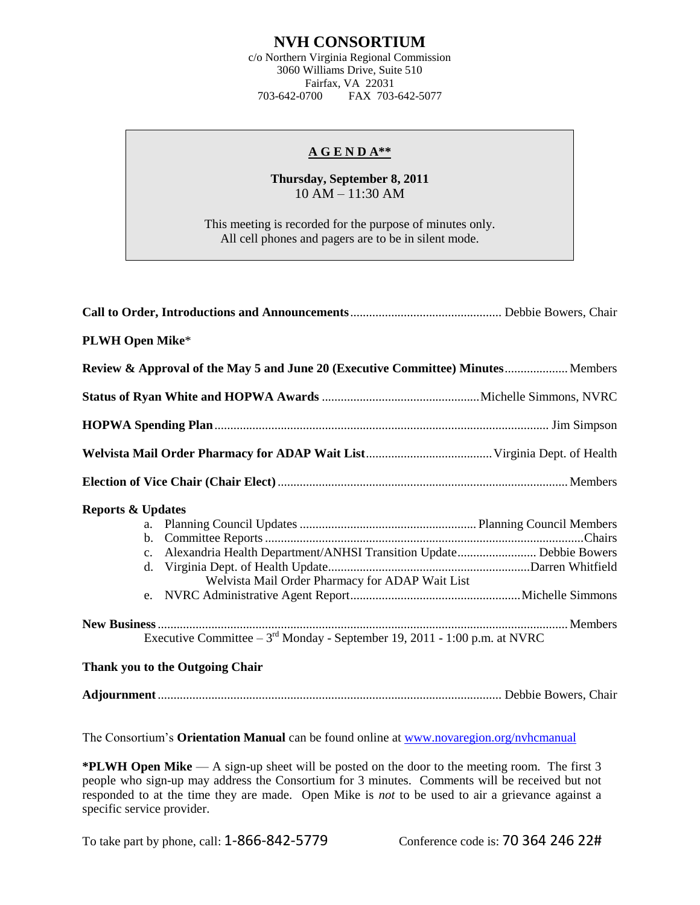## **NVH CONSORTIUM**

c/o Northern Virginia Regional Commission 3060 Williams Drive, Suite 510 Fairfax, VA 22031<br>703-642-0700 FAX 703-FAX 703-642-5077

#### **A G E N D A\*\***

### **Thursday, September 8, 2011** 10 AM – 11:30 AM

This meeting is recorded for the purpose of minutes only. All cell phones and pagers are to be in silent mode.

| <b>PLWH Open Mike*</b>                                                                                                                                   |  |
|----------------------------------------------------------------------------------------------------------------------------------------------------------|--|
| Review & Approval of the May 5 and June 20 (Executive Committee) Minutes Members                                                                         |  |
|                                                                                                                                                          |  |
|                                                                                                                                                          |  |
|                                                                                                                                                          |  |
|                                                                                                                                                          |  |
| <b>Reports &amp; Updates</b><br>c. Alexandria Health Department/ANHSI Transition Update Debbie Bowers<br>Welvista Mail Order Pharmacy for ADAP Wait List |  |
| Executive Committee $-3^{rd}$ Monday - September 19, 2011 - 1:00 p.m. at NVRC<br>Thank you to the Outgoing Chair                                         |  |

# **Adjournment**............................................................................................................. Debbie Bowers, Chair

The Consortium's **Orientation Manual** can be found online at [www.novaregion.org/nvhcmanual](http://www.novaregion.org/nvhcmanual)

**\*PLWH Open Mike** — A sign-up sheet will be posted on the door to the meeting room. The first 3 people who sign-up may address the Consortium for 3 minutes. Comments will be received but not responded to at the time they are made. Open Mike is *not* to be used to air a grievance against a specific service provider.

To take part by phone, call: 1-866-842-5779 Conference code is: 70 364 246 22#